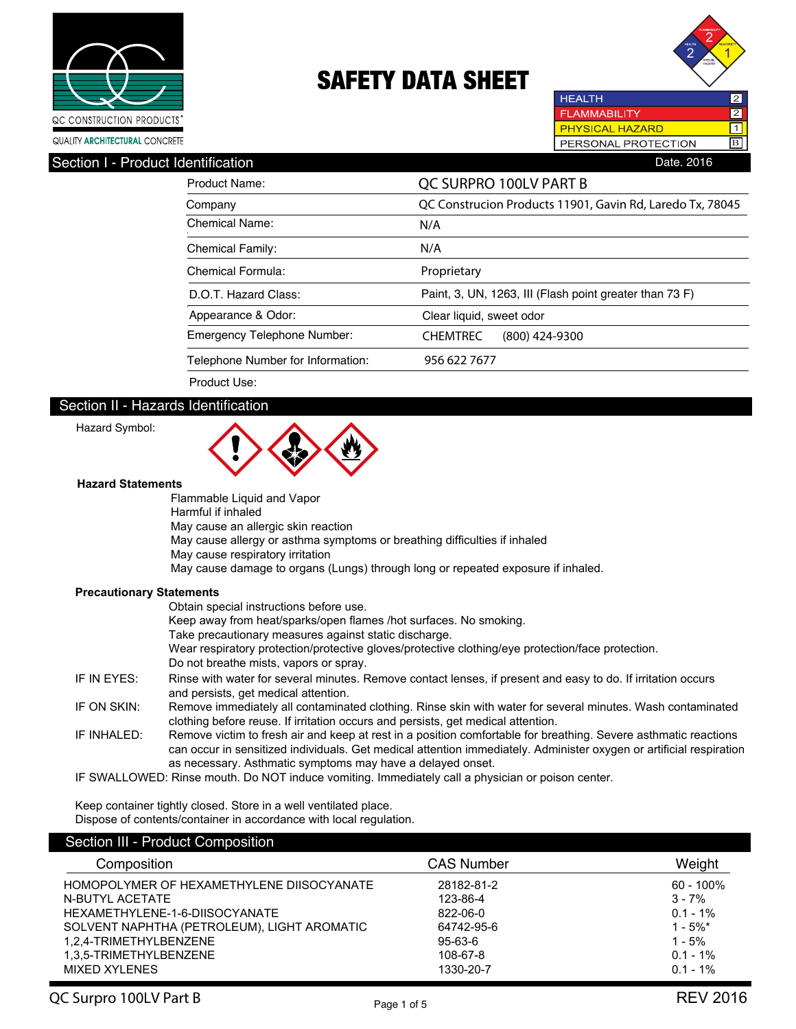



**HEALTH**  $\overline{2}$ **FLAMMABILITY** 2 **PHYSICAL HAZARD**  $\overline{\mathbf{1}}$ PERSONAL PROTECTION B

## Section I - Product Identification **Date.** 2016

| Product Name:                      | QC SURPRO 100LV PART B                                    |
|------------------------------------|-----------------------------------------------------------|
| Company                            | QC Construcion Products 11901, Gavin Rd, Laredo Tx, 78045 |
| Chemical Name:                     | N/A                                                       |
| <b>Chemical Family:</b>            | N/A                                                       |
| Chemical Formula:                  | Proprietary                                               |
| D.O.T. Hazard Class:               | Paint, 3, UN, 1263, III (Flash point greater than 73 F)   |
| Appearance & Odor:                 | Clear liquid, sweet odor                                  |
| <b>Emergency Telephone Number:</b> | <b>CHEMTREC</b><br>(800) 424-9300                         |
| Telephone Number for Information:  | 956 622 7677                                              |
| Product Use:                       |                                                           |

## Section II - Hazards Identification

Hazard Symbol:



#### **Hazard Statements**

Flammable Liquid and Vapor Harmful if inhaled May cause an allergic skin reaction May cause allergy or asthma symptoms or breathing difficulties if inhaled May cause respiratory irritation May cause damage to organs (Lungs) through long or repeated exposure if inhaled.

### **Precautionary Statements**

|             | Obtain special instructions before use.                                                                                                                                                                                                                                                              |
|-------------|------------------------------------------------------------------------------------------------------------------------------------------------------------------------------------------------------------------------------------------------------------------------------------------------------|
|             | Keep away from heat/sparks/open flames /hot surfaces. No smoking.                                                                                                                                                                                                                                    |
|             | Take precautionary measures against static discharge.                                                                                                                                                                                                                                                |
|             | Wear respiratory protection/protective gloves/protective clothing/eye protection/face protection.                                                                                                                                                                                                    |
|             | Do not breathe mists, vapors or spray.                                                                                                                                                                                                                                                               |
| IF IN EYES: | Rinse with water for several minutes. Remove contact lenses, if present and easy to do. If irritation occurs<br>and persists, get medical attention.                                                                                                                                                 |
| IF ON SKIN: | Remove immediately all contaminated clothing. Rinse skin with water for several minutes. Wash contaminated<br>clothing before reuse. If irritation occurs and persists, get medical attention.                                                                                                       |
| IF INHALED: | Remove victim to fresh air and keep at rest in a position comfortable for breathing. Severe asthmatic reactions<br>can occur in sensitized individuals. Get medical attention immediately. Administer oxygen or artificial respiration<br>as necessary. Asthmatic symptoms may have a delayed onset. |
|             | IF SWALLOWED: Rinse mouth. Do NOT induce vomiting. Immediately call a physician or poison center.                                                                                                                                                                                                    |

Keep container tightly closed. Store in a well ventilated place. Dispose of contents/container in accordance with local regulation.

## Section III - Product Composition

| Composition                                 | <b>CAS Number</b> | Weight       |
|---------------------------------------------|-------------------|--------------|
| HOMOPOLYMER OF HEXAMETHYLENE DIISOCYANATE   | 28182-81-2        | $60 - 100\%$ |
| N-BUTYL ACETATE                             | 123-86-4          | $3 - 7\%$    |
| HEXAMETHYLENE-1-6-DIISOCYANATE              | 822-06-0          | $0.1 - 1\%$  |
| SOLVENT NAPHTHA (PETROLEUM), LIGHT AROMATIC | 64742-95-6        | $1 - 5\%$ *  |
| 1,2,4-TRIMETHYLBENZENE                      | 95-63-6           | $1 - 5%$     |
| 1.3.5-TRIMETHYLBENZENE                      | 108-67-8          | $0.1 - 1\%$  |
| MIXED XYLENES                               | 1330-20-7         | $0.1 - 1\%$  |
|                                             |                   |              |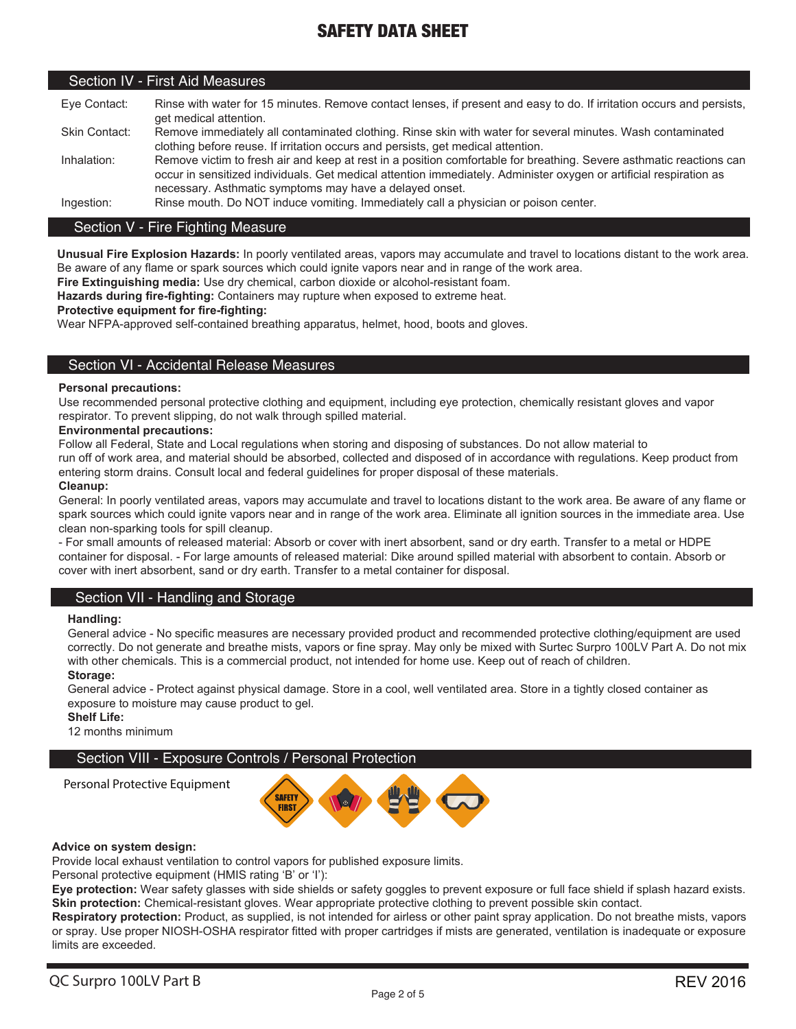### Section IV - First Aid Measures

| Eve Contact:  | Rinse with water for 15 minutes. Remove contact lenses, if present and easy to do. If irritation occurs and persists, |
|---------------|-----------------------------------------------------------------------------------------------------------------------|
|               | get medical attention.                                                                                                |
| Skin Contact: | Remove immediately all contaminated clothing. Rinse skin with water for several minutes. Wash contaminated            |
|               | clothing before reuse. If irritation occurs and persists, get medical attention.                                      |
| Inhalation:   | Remove victim to fresh air and keep at rest in a position comfortable for breathing. Severe asthmatic reactions can   |
|               | occur in sensitized individuals. Get medical attention immediately. Administer oxygen or artificial respiration as    |
|               | necessary. Asthmatic symptoms may have a delayed onset.                                                               |
| Ingestion:    | Rinse mouth. Do NOT induce vomiting. Immediately call a physician or poison center.                                   |

### Section V - Fire Fighting Measure

**Unusual Fire Explosion Hazards:** In poorly ventilated areas, vapors may accumulate and travel to locations distant to the work area. Be aware of any flame or spark sources which could ignite vapors near and in range of the work area.

**Fire Extinguishing media:** Use dry chemical, carbon dioxide or alcohol-resistant foam.

**Hazards during fire-fighting:** Containers may rupture when exposed to extreme heat.

### **Protective equipment for fire-fighting:**

Wear NFPA-approved self-contained breathing apparatus, helmet, hood, boots and gloves.

### Section VI - Accidental Release Measures

### **Personal precautions:**

Use recommended personal protective clothing and equipment, including eye protection, chemically resistant gloves and vapor respirator. To prevent slipping, do not walk through spilled material.

### **Environmental precautions:**

Follow all Federal, State and Local regulations when storing and disposing of substances. Do not allow material to

run off of work area, and material should be absorbed, collected and disposed of in accordance with regulations. Keep product from entering storm drains. Consult local and federal guidelines for proper disposal of these materials.

### **Cleanup:**

General: In poorly ventilated areas, vapors may accumulate and travel to locations distant to the work area. Be aware of any flame or spark sources which could ignite vapors near and in range of the work area. Eliminate all ignition sources in the immediate area. Use clean non-sparking tools for spill cleanup.

- For small amounts of released material: Absorb or cover with inert absorbent, sand or dry earth. Transfer to a metal or HDPE container for disposal. - For large amounts of released material: Dike around spilled material with absorbent to contain. Absorb or cover with inert absorbent, sand or dry earth. Transfer to a metal container for disposal.

### Section VII - Handling and Storage

### **Handling:**

General advice - No specific measures are necessary provided product and recommended protective clothing/equipment are used correctly. Do not generate and breathe mists, vapors or fine spray. May only be mixed with Surtec Surpro 100LV Part A. Do not mix with other chemicals. This is a commercial product, not intended for home use. Keep out of reach of children.

### **Storage:**

General advice - Protect against physical damage. Store in a cool, well ventilated area. Store in a tightly closed container as exposure to moisture may cause product to gel.

### **Shelf Life:**

12 months minimum

### Section VIII - Exposure Controls / Personal Protection

**SAFETY FIRST** 

### **Advice on system design:**

Personal Protective Equipment

Provide local exhaust ventilation to control vapors for published exposure limits.

Personal protective equipment (HMIS rating 'B' or 'I'):

**Eye protection:** Wear safety glasses with side shields or safety goggles to prevent exposure or full face shield if splash hazard exists. **Skin protection:** Chemical-resistant gloves. Wear appropriate protective clothing to prevent possible skin contact.

**Respiratory protection:** Product, as supplied, is not intended for airless or other paint spray application. Do not breathe mists, vapors or spray. Use proper NIOSH-OSHA respirator fitted with proper cartridges if mists are generated, ventilation is inadequate or exposure limits are exceeded.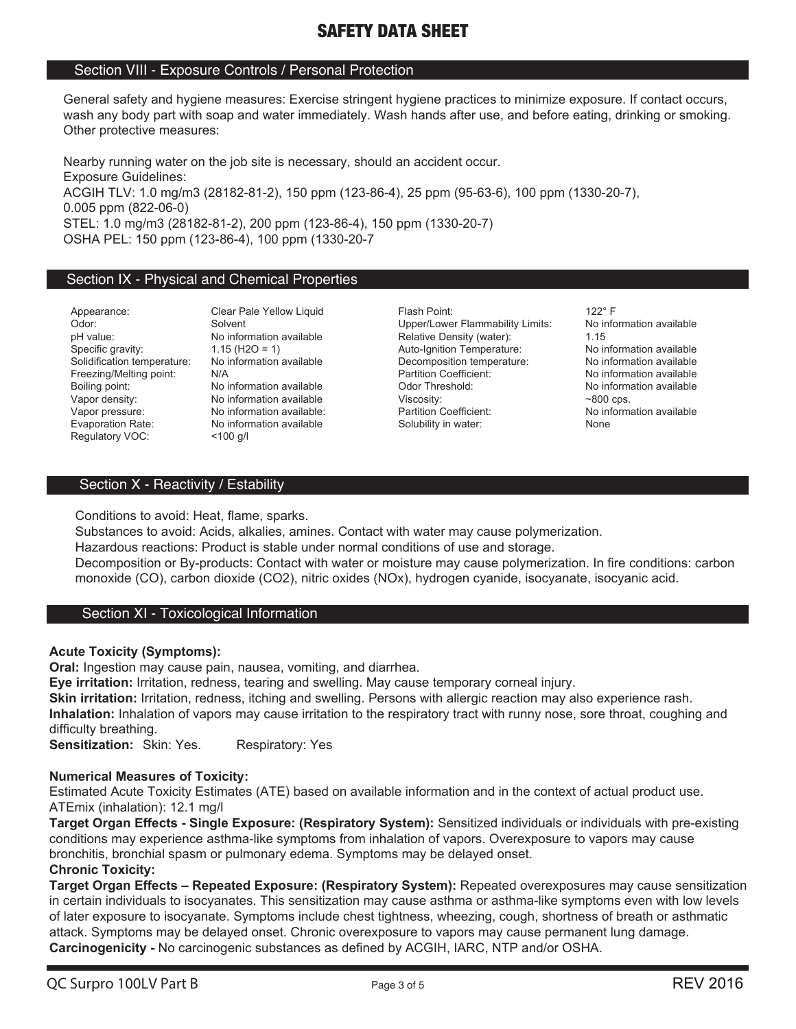## Section VIII - Exposure Controls / Personal Protection

General safety and hygiene measures: Exercise stringent hygiene practices to minimize exposure. If contact occurs, wash any body part with soap and water immediately. Wash hands after use, and before eating, drinking or smoking. Other protective measures:

Nearby running water on the job site is necessary, should an accident occur. Exposure Guidelines: ACGIH TLV: 1.0 mg/m3 (28182-81-2), 150 ppm (123-86-4), 25 ppm (95-63-6), 100 ppm (1330-20-7), 0.005 ppm (822-06-0) STEL: 1.0 mg/m3 (28182-81-2), 200 ppm (123-86-4), 150 ppm (1330-20-7) OSHA PEL: 150 ppm (123-86-4), 100 ppm (1330-20-7

## Section IX - Physical and Chemical Properties

Regulatory VOC: <100 g/l

No information available

Appearance: Clear Pale Yellow Liquid Flash Point: 122° F و 122° F<br>Odor: Solvent Solvent Clear Point Clear Cheer/Lower Flammability Limits: No information available Odor: Solvent Solvent Solvent Upper/Lower Flammability Limits: No information available<br>
Density (water): 1.15<br>
Density (water): 1.15 Relative Density (water): Specific gravity: 1.15 (H2O = 1) Auto-Ignition Temperature: No information available Solidification temperature: No information available Decomposition temperature: No information available Freezing/Melting point: N/A Note and Network and Definition Coefficient: No information available<br>
Rolling point: No information available<br>
Note of the Salling point: No information available Boiling point: No information available Codor Threshold: No information available Consumer Codor Threshold: No information available Viscosity: All the Museum of the Museum of All the Viscosity: No information available Vi Vapor pressure: No information available: Partition Coefficient: No information available Evaporation Rate: No information available Solubility in water: None

## Section X - Reactivity / Estability

Conditions to avoid: Heat, flame, sparks.

Substances to avoid: Acids, alkalies, amines. Contact with water may cause polymerization. Hazardous reactions: Product is stable under normal conditions of use and storage. Decomposition or By-products: Contact with water or moisture may cause polymerization. In fire conditions: carbon monoxide (CO), carbon dioxide (CO2), nitric oxides (NOx), hydrogen cyanide, isocyanate, isocyanic acid.

## Section XI - Toxicological Information

## **Acute Toxicity (Symptoms):**

**Oral:** Ingestion may cause pain, nausea, vomiting, and diarrhea.

**Eye irritation:** Irritation, redness, tearing and swelling. May cause temporary corneal injury.

**Skin irritation:** Irritation, redness, itching and swelling. Persons with allergic reaction may also experience rash. **Inhalation:** Inhalation of vapors may cause irritation to the respiratory tract with runny nose, sore throat, coughing and difficulty breathing.

**Sensitization:** Skin: Yes. Respiratory: Yes

## **Numerical Measures of Toxicity:**

Estimated Acute Toxicity Estimates (ATE) based on available information and in the context of actual product use. ATEmix (inhalation): 12.1 mg/l

**Target Organ Effects - Single Exposure: (Respiratory System):** Sensitized individuals or individuals with pre-existing conditions may experience asthma-like symptoms from inhalation of vapors. Overexposure to vapors may cause bronchitis, bronchial spasm or pulmonary edema. Symptoms may be delayed onset. **Chronic Toxicity:**

**Target Organ Effects – Repeated Exposure: (Respiratory System):** Repeated overexposures may cause sensitization in certain individuals to isocyanates. This sensitization may cause asthma or asthma-like symptoms even with low levels of later exposure to isocyanate. Symptoms include chest tightness, wheezing, cough, shortness of breath or asthmatic attack. Symptoms may be delayed onset. Chronic overexposure to vapors may cause permanent lung damage. **Carcinogenicity -** No carcinogenic substances as defined by ACGIH, IARC, NTP and/or OSHA.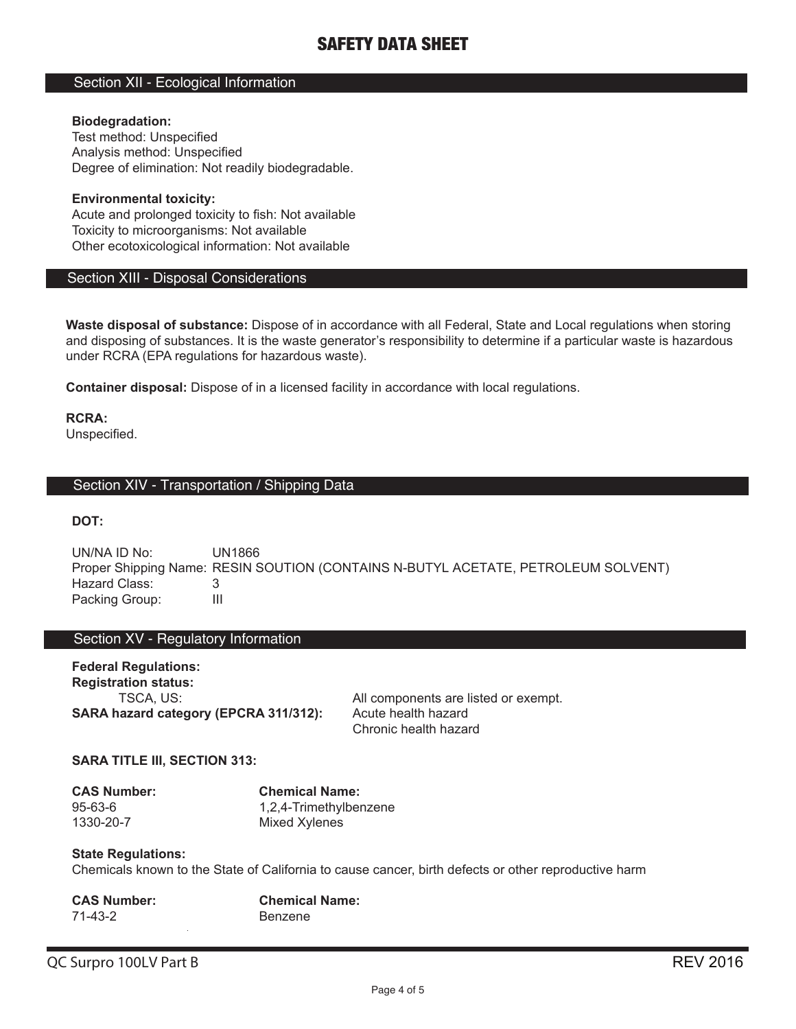## Section XII - Ecological Information

### **Biodegradation:**

Test method: Unspecified Analysis method: Unspecified Degree of elimination: Not readily biodegradable.

**Environmental toxicity:** Acute and prolonged toxicity to fish: Not available Toxicity to microorganisms: Not available Other ecotoxicological information: Not available

### Section XIII - Disposal Considerations

**Waste disposal of substance:** Dispose of in accordance with all Federal, State and Local regulations when storing and disposing of substances. It is the waste generator's responsibility to determine if a particular waste is hazardous under RCRA (EPA regulations for hazardous waste).

**Container disposal:** Dispose of in a licensed facility in accordance with local regulations.

**RCRA:** Unspecified.

### Section XIV - Transportation / Shipping Data

**DOT:**

UN/NA ID No: UN1866 Proper Shipping Name: RESIN SOUTION (CONTAINS N-BUTYL ACETATE, PETROLEUM SOLVENT) Hazard Class: 3<br>Packing Group: 11 Packing Group:

## Section XV - Regulatory Information

**Federal Regulations: Registration status: SARA hazard category (EPCRA 311/312):** Acute health hazard

TSCA, US: All components are listed or exempt. Chronic health hazard

### **SARA TITLE III, SECTION 313:**

| <b>CAS Number:</b> | <b>Chemical Name:</b>  |
|--------------------|------------------------|
| $95 - 63 - 6$      | 1,2,4-Trimethylbenzene |
| 1330-20-7          | Mixed Xylenes          |

### **State Regulations:**

Chemicals known to the State of California to cause cancer, birth defects or other reproductive harm

| <b>CAS Number:</b> | <b>Chemical Name:</b> |
|--------------------|-----------------------|
| 71-43-2            | Benzene               |